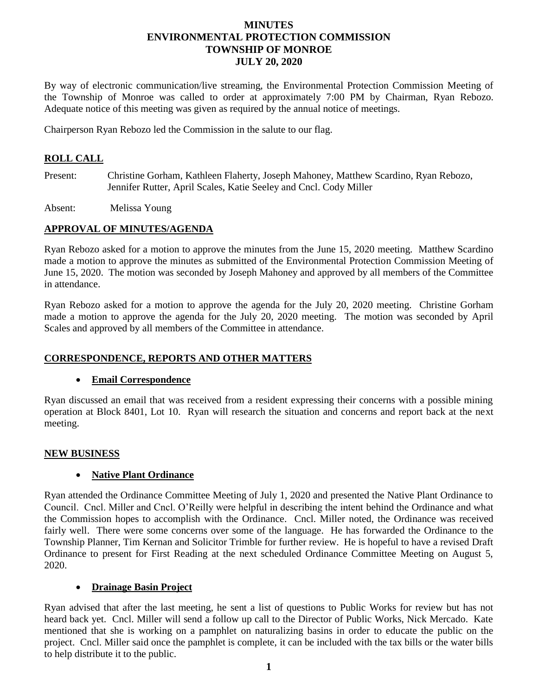# **MINUTES ENVIRONMENTAL PROTECTION COMMISSION TOWNSHIP OF MONROE JULY 20, 2020**

By way of electronic communication/live streaming, the Environmental Protection Commission Meeting of the Township of Monroe was called to order at approximately 7:00 PM by Chairman, Ryan Rebozo. Adequate notice of this meeting was given as required by the annual notice of meetings.

Chairperson Ryan Rebozo led the Commission in the salute to our flag.

# **ROLL CALL**

Present: Christine Gorham, Kathleen Flaherty, Joseph Mahoney, Matthew Scardino, Ryan Rebozo, Jennifer Rutter, April Scales, Katie Seeley and Cncl. Cody Miller

Absent: Melissa Young

## **APPROVAL OF MINUTES/AGENDA**

Ryan Rebozo asked for a motion to approve the minutes from the June 15, 2020 meeting. Matthew Scardino made a motion to approve the minutes as submitted of the Environmental Protection Commission Meeting of June 15, 2020. The motion was seconded by Joseph Mahoney and approved by all members of the Committee in attendance.

Ryan Rebozo asked for a motion to approve the agenda for the July 20, 2020 meeting. Christine Gorham made a motion to approve the agenda for the July 20, 2020 meeting. The motion was seconded by April Scales and approved by all members of the Committee in attendance.

## **CORRESPONDENCE, REPORTS AND OTHER MATTERS**

## **Email Correspondence**

Ryan discussed an email that was received from a resident expressing their concerns with a possible mining operation at Block 8401, Lot 10. Ryan will research the situation and concerns and report back at the next meeting.

## **NEW BUSINESS**

## **Native Plant Ordinance**

Ryan attended the Ordinance Committee Meeting of July 1, 2020 and presented the Native Plant Ordinance to Council. Cncl. Miller and Cncl. O'Reilly were helpful in describing the intent behind the Ordinance and what the Commission hopes to accomplish with the Ordinance. Cncl. Miller noted, the Ordinance was received fairly well. There were some concerns over some of the language. He has forwarded the Ordinance to the Township Planner, Tim Kernan and Solicitor Trimble for further review. He is hopeful to have a revised Draft Ordinance to present for First Reading at the next scheduled Ordinance Committee Meeting on August 5, 2020.

## **Drainage Basin Project**

Ryan advised that after the last meeting, he sent a list of questions to Public Works for review but has not heard back yet. Cncl. Miller will send a follow up call to the Director of Public Works, Nick Mercado. Kate mentioned that she is working on a pamphlet on naturalizing basins in order to educate the public on the project. Cncl. Miller said once the pamphlet is complete, it can be included with the tax bills or the water bills to help distribute it to the public.